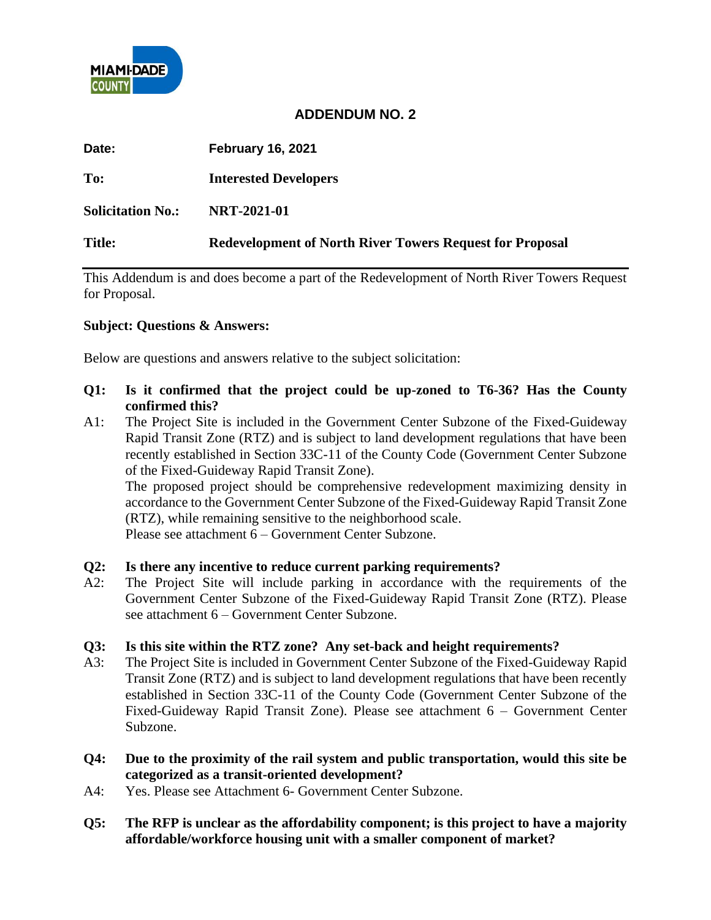

# **ADDENDUM NO. 2**

| Date:                    | <b>February 16, 2021</b>                                        |
|--------------------------|-----------------------------------------------------------------|
| To:                      | <b>Interested Developers</b>                                    |
| <b>Solicitation No.:</b> | <b>NRT-2021-01</b>                                              |
| <b>Title:</b>            | <b>Redevelopment of North River Towers Request for Proposal</b> |

This Addendum is and does become a part of the Redevelopment of North River Towers Request for Proposal.

## **Subject: Questions & Answers:**

Below are questions and answers relative to the subject solicitation:

- **Q1: Is it confirmed that the project could be up-zoned to T6-36? Has the County confirmed this?**
- A1: The Project Site is included in the Government Center Subzone of the Fixed-Guideway Rapid Transit Zone (RTZ) and is subject to land development regulations that have been recently established in Section 33C-11 of the County Code (Government Center Subzone of the Fixed-Guideway Rapid Transit Zone).

The proposed project should be comprehensive redevelopment maximizing density in accordance to the Government Center Subzone of the Fixed-Guideway Rapid Transit Zone (RTZ), while remaining sensitive to the neighborhood scale.

Please see attachment 6 – Government Center Subzone.

### **Q2: Is there any incentive to reduce current parking requirements?**

A2: The Project Site will include parking in accordance with the requirements of the Government Center Subzone of the Fixed-Guideway Rapid Transit Zone (RTZ). Please see attachment 6 – Government Center Subzone.

### **Q3: Is this site within the RTZ zone? Any set-back and height requirements?**

- A3: The Project Site is included in Government Center Subzone of the Fixed-Guideway Rapid Transit Zone (RTZ) and is subject to land development regulations that have been recently established in Section 33C-11 of the County Code (Government Center Subzone of the Fixed-Guideway Rapid Transit Zone). Please see attachment 6 – Government Center Subzone.
- **Q4: Due to the proximity of the rail system and public transportation, would this site be categorized as a transit-oriented development?**
- A4: Yes. Please see Attachment 6- Government Center Subzone.
- **Q5: The RFP is unclear as the affordability component; is this project to have a majority affordable/workforce housing unit with a smaller component of market?**